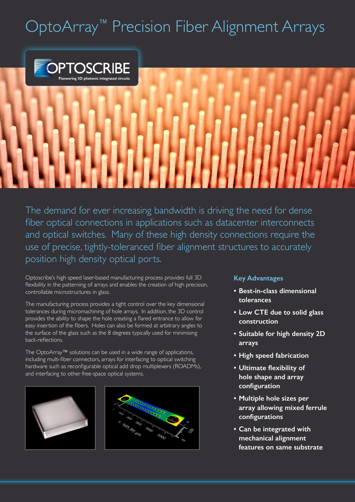### OptoArray<sup>™</sup> Precision Fiber Alignment Arrays



The demand for ever increasing bandwidth is driving the need for dense fiber optical connections in applications such as datacenter interconnects and optical switches. Many of these high density connections require the use of precise, tightly-toleranced fiber alignment structures to accurately position high density optical ports.

Optoscribe's high speed laser-based manufacturing process provides full 3D flexibility in the patterning of arrays and enables the creation of high precision, controllable microstructures in glass.

The manufacturing process provides a tight control over the key dimensional tolerances during micromachining of hole arrays. In addition, the 3D control provides the ability to shape the hole creating a flared entrance to allow for easy insertion of the fibers. Holes can also be formed at arbitrary angles to the surface of the glass such as the 8 degrees typically used for minimising back-reflections.

The OptoArray™ solutions can be used in a wide range of applications, including multi-fiber connectors, arrays for interfacing to optical switching hardware such as reconfigurable optical add drop multiplexers (ROADMs), and interfacing to other free-space optical systems.



### **Key Advantages**

- **• Best-in-class dimensional tolerances**
- **• Low CTE due to solid glass construction**
- **• Suitable for high density 2D arrays**
- **• High speed fabrication**
- **• Ultimate flexibility of hole shape and array configuration**
- **• Multiple hole sizes per array allowing mixed ferrule configurations**
- **• Can be integrated with mechanical alignment features on same substrate**